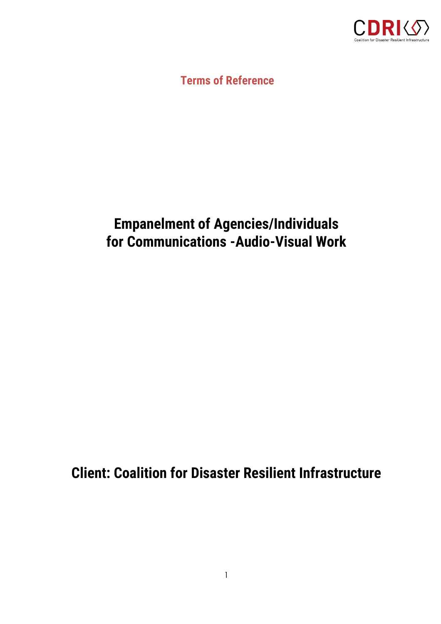

**Terms of Reference**

# **Empanelment of Agencies/Individuals for Communications -Audio-Visual Work**

**Client: Coalition for Disaster Resilient Infrastructure**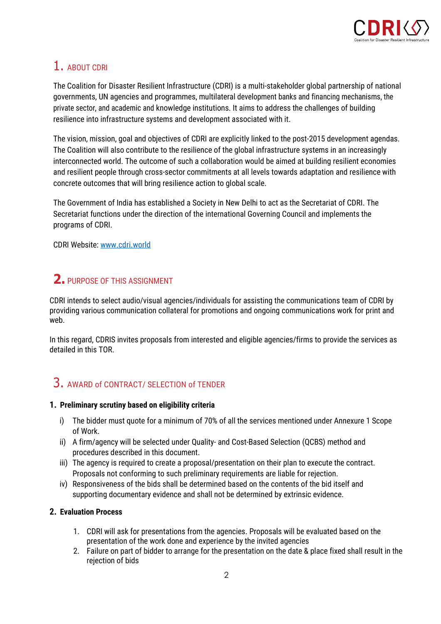

# 1. ABOUT CDRI

The Coalition for Disaster Resilient Infrastructure (CDRI) is a multi-stakeholder global partnership of national governments, UN agencies and programmes, multilateral development banks and financing mechanisms, the private sector, and academic and knowledge institutions. It aims to address the challenges of building resilience into infrastructure systems and development associated with it.

The vision, mission, goal and objectives of CDRI are explicitly linked to the post-2015 development agendas. The Coalition will also contribute to the resilience of the global infrastructure systems in an increasingly interconnected world. The outcome of such a collaboration would be aimed at building resilient economies and resilient people through cross-sector commitments at all levels towards adaptation and resilience with concrete outcomes that will bring resilience action to global scale.

The Government of India has established a Society in New Delhi to act as the Secretariat of CDRI. The Secretariat functions under the direction of the international Governing Council and implements the programs of CDRI.

CDRI Website[: www.cdri.world](file:///C:/Users/HP/Downloads/www.cdri.world)

# **2.** PURPOSE OF THIS ASSIGNMENT

CDRI intends to select audio/visual agencies/individuals for assisting the communications team of CDRI by providing various communication collateral for promotions and ongoing communications work for print and web.

In this regard, CDRIS invites proposals from interested and eligible agencies/firms to provide the services as detailed in this TOR.

## 3. AWARD of CONTRACT/ SELECTION of TENDER

### **1. Preliminary scrutiny based on eligibility criteria**

- i) The bidder must quote for a minimum of 70% of all the services mentioned under Annexure 1 Scope of Work.
- ii) A firm/agency will be selected under Quality- and Cost-Based Selection (QCBS) method and procedures described in this document.
- iii) The agency is required to create a proposal/presentation on their plan to execute the contract. Proposals not conforming to such preliminary requirements are liable for rejection.
- iv) Responsiveness of the bids shall be determined based on the contents of the bid itself and supporting documentary evidence and shall not be determined by extrinsic evidence.

### **2. Evaluation Process**

- 1. CDRI will ask for presentations from the agencies. Proposals will be evaluated based on the presentation of the work done and experience by the invited agencies
- 2. Failure on part of bidder to arrange for the presentation on the date & place fixed shall result in the rejection of bids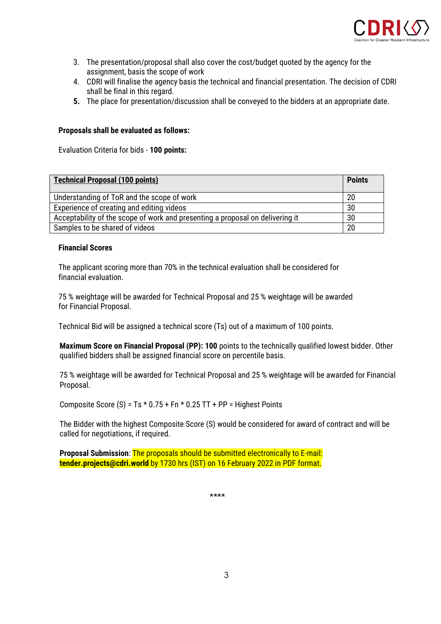

- 3. The presentation/proposal shall also cover the cost/budget quoted by the agency for the assignment, basis the scope of work
- 4. CDRI will finalise the agency basis the technical and financial presentation. The decision of CDRI shall be final in this regard.
- **5.** The place for presentation/discussion shall be conveyed to the bidders at an appropriate date.

#### **Proposals shall be evaluated as follows:**

Evaluation Criteria for bids - **100 points:**

| <b>Technical Proposal (100 points)</b>                                        | <b>Points</b> |
|-------------------------------------------------------------------------------|---------------|
| Understanding of ToR and the scope of work                                    | 20            |
| Experience of creating and editing videos                                     | 30            |
| Acceptability of the scope of work and presenting a proposal on delivering it | 30            |
| Samples to be shared of videos                                                | 20            |

#### **Financial Scores**

The applicant scoring more than 70% in the technical evaluation shall be considered for financial evaluation.

75 % weightage will be awarded for Technical Proposal and 25 % weightage will be awarded for Financial Proposal.

Technical Bid will be assigned a technical score (Ts) out of a maximum of 100 points.

**Maximum Score on Financial Proposal (PP): 100** points to the technically qualified lowest bidder. Other qualified bidders shall be assigned financial score on percentile basis.

75 % weightage will be awarded for Technical Proposal and 25 % weightage will be awarded for Financial Proposal.

Composite Score (S) =  $Ts * 0.75 + Fn * 0.25 TT + PP = Higher Points$ 

The Bidder with the highest Composite Score (S) would be considered for award of contract and will be called for negotiations, if required.

**Proposal Submission**: The proposals should be submitted electronically to E-mail: **tender.projects@cdri.world** by 1730 hrs (IST) on 16 February 2022 in PDF format.

\*\*\*\*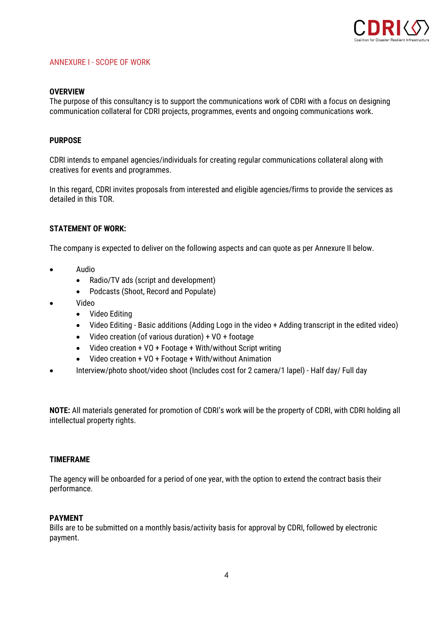

#### ANNEXURE I - SCOPE OF WORK

#### **OVERVIEW**

The purpose of this consultancy is to support the communications work of CDRI with a focus on designing communication collateral for CDRI projects, programmes, events and ongoing communications work.

#### **PURPOSE**

CDRI intends to empanel agencies/individuals for creating regular communications collateral along with creatives for events and programmes.

In this regard, CDRI invites proposals from interested and eligible agencies/firms to provide the services as detailed in this TOR.

#### **STATEMENT OF WORK:**

The company is expected to deliver on the following aspects and can quote as per Annexure II below.

- Audio
	- Radio/TV ads (script and development)
	- Podcasts (Shoot, Record and Populate)
- Video
	- Video Editing
	- Video Editing Basic additions (Adding Logo in the video + Adding transcript in the edited video)
	- Video creation (of various duration) + VO + footage
	- Video creation + VO + Footage + With/without Script writing
	- Video creation + VO + Footage + With/without Animation
- Interview/photo shoot/video shoot (Includes cost for 2 camera/1 lapel) Half day/ Full day

**NOTE:** All materials generated for promotion of CDRI's work will be the property of CDRI, with CDRI holding all intellectual property rights.

#### **TIMEFRAME**

The agency will be onboarded for a period of one year, with the option to extend the contract basis their performance.

#### **PAYMENT**

Bills are to be submitted on a monthly basis/activity basis for approval by CDRI, followed by electronic payment.